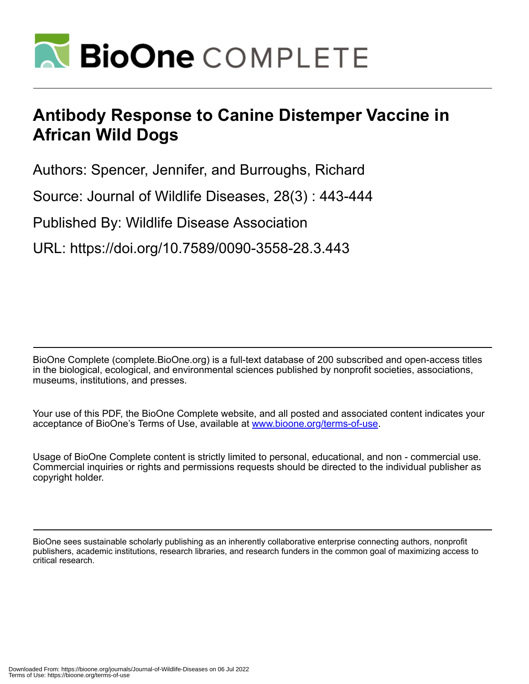

## **Antibody Response to Canine Distemper Vaccine in African Wild Dogs**

Authors: Spencer, Jennifer, and Burroughs, Richard

Source: Journal of Wildlife Diseases, 28(3) : 443-444

Published By: Wildlife Disease Association

URL: https://doi.org/10.7589/0090-3558-28.3.443

BioOne Complete (complete.BioOne.org) is a full-text database of 200 subscribed and open-access titles in the biological, ecological, and environmental sciences published by nonprofit societies, associations, museums, institutions, and presses.

Your use of this PDF, the BioOne Complete website, and all posted and associated content indicates your acceptance of BioOne's Terms of Use, available at www.bioone.org/terms-of-use.

Usage of BioOne Complete content is strictly limited to personal, educational, and non - commercial use. Commercial inquiries or rights and permissions requests should be directed to the individual publisher as copyright holder.

BioOne sees sustainable scholarly publishing as an inherently collaborative enterprise connecting authors, nonprofit publishers, academic institutions, research libraries, and research funders in the common goal of maximizing access to critical research.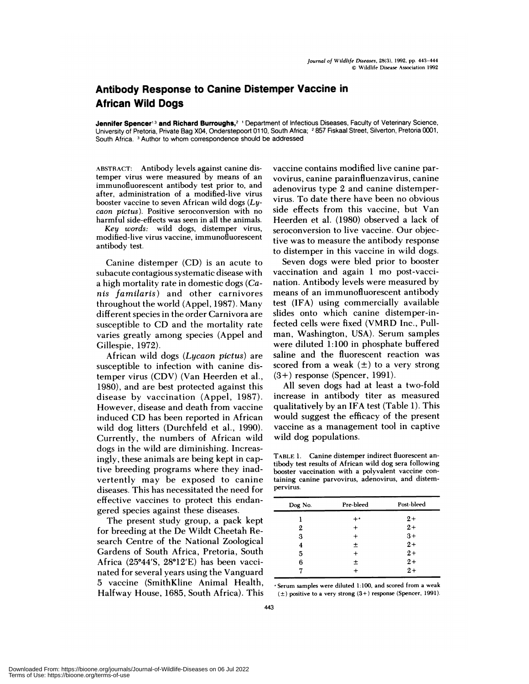## **Antibody Response to Canine Distemper Vaccine in African Wild Dogs**

Jennifer **Spencer'3 and Richard** Burroughs,2 'Department of Infectious Diseases, Faculty of Veterinary Science, University of Pretoria, Private Bag X04, Onderstepoort 0110, South Africa; 2857 Fiskaal Street, Silverton, Pretoria 0001, South Africa.<sup>3</sup> Author to whom correspondence should be addressed

**ABSTRACT:** Antibody levels against canine distemper virus were measured by means of an immunofluorescent antibody test prior to, and after, administration of a modified-live virus booster vaccine to seven African wild dogs *(Ly* caon pictus). Positive seroconversion with no harmful side-effects was seen in all the animals.

Key words: wild dogs, distemper virus, modified-live virus vaccine, immunofluorescent antibody test.

Canine distemper (CD) is an acute to subacute contagious systematic disease with a high mortality rate in domestic dogs *(Canis familaris)* and other carnivores throughout the world (Appel, 1987). Many different species in the order Carnivora are susceptible to CD and the mortality rate varies greatly among species (Appel and Gillespie, 1972).

African wild dogs *(Lycaon pictus)* are susceptible to infection with canine distemper virus (CDV) (Van Heerden et a!., 1980), and are best protected against this disease by vaccination (Appel, 1987). However, disease and death from vaccine induced CD has been reported in African wild dog litters (Durchfeld et al., 1990). Currently, the numbers of African wild dogs in the wild are diminishing. Increasingly, these animals are being kept in captive breeding programs where they inadvertently may be exposed to canine diseases. This has necessitated the need for effective vaccines to protect this endangered species against these diseases.

The present study group, a pack kept for breeding at the De Wildt Cheetah Research Centre of the National Zoological Gardens of South Africa, Pretoria, South Africa  $(25^{\circ}44'S, 28^{\circ}12'E)$  has been vaccinated for several years using the Vanguard 5 vaccine (SmithKline Animal Health, Halfway House, 1685, South Africa). This vaccine contains modified live canine parvovirus, canine parainfluenzavirus, canine adenovirus type 2 and canine distempervirus. To date there have been no obvious side effects from this vaccine, but Van Heerden et al. (1980) observed a lack of seroconversion to live vaccine. Our objective was to measure the antibody response to distemper in this vaccine in wild dogs.

Seven dogs were bled prior to booster vaccination and again 1 mo post-vaccination. Antibody levels were measured by means of an immunofluorescent antibody test (IFA) using commercially available slides onto which canine distemper-infected cells were fixed (VMRD Inc., Pullman, Washington, USA). Serum samples were diluted 1:100 in phosphate buffered saline and the fluorescent reaction was scored from a weak  $(\pm)$  to a very strong (3+) response (Spencer, 1991).

Al! seven dogs had at least a two-fold increase in antibody titer as measured qualitatively by an IFA test (Table 1). This would suggest the efficacy of the present vaccine as a management tool in captive wild dog populations.

TABLE 1. Canine distemper indirect fluorescent antibody test results of African wild dog sera following booster vaccination with a polyvalent vaccine containing canine parvovirus, adenovirus, and distem pervirus.

| Dog No. | Pre-bleed | Post-bleed |
|---------|-----------|------------|
| ۱       | $+$ .     | $2+$       |
| 2       | $\ddot{}$ | $2+$       |
| 3       | $\,^+$    | $3+$       |
| 4       | $\pm$     | $2+$       |
| 5       | $\ddot{}$ | $2+$       |
| 6       | 土         | $2+$       |
|         |           | $2+$       |

'Serum samples were diluted 1:100, and scored from a weak  $(\pm)$  positive to a very strong  $(3+)$  response (Spencer, 1991).